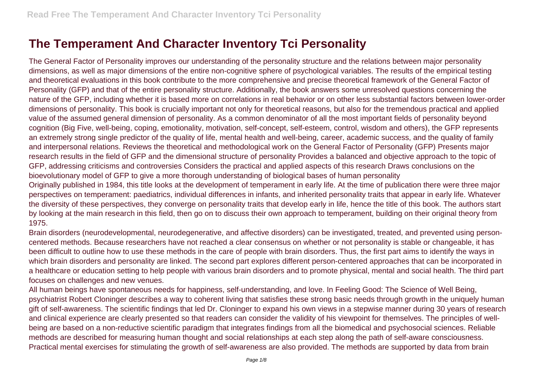## **The Temperament And Character Inventory Tci Personality**

The General Factor of Personality improves our understanding of the personality structure and the relations between major personality dimensions, as well as major dimensions of the entire non-cognitive sphere of psychological variables. The results of the empirical testing and theoretical evaluations in this book contribute to the more comprehensive and precise theoretical framework of the General Factor of Personality (GFP) and that of the entire personality structure. Additionally, the book answers some unresolved questions concerning the nature of the GFP, including whether it is based more on correlations in real behavior or on other less substantial factors between lower-order dimensions of personality. This book is crucially important not only for theoretical reasons, but also for the tremendous practical and applied value of the assumed general dimension of personality. As a common denominator of all the most important fields of personality beyond cognition (Big Five, well-being, coping, emotionality, motivation, self-concept, self-esteem, control, wisdom and others), the GFP represents an extremely strong single predictor of the quality of life, mental health and well-being, career, academic success, and the quality of family and interpersonal relations. Reviews the theoretical and methodological work on the General Factor of Personality (GFP) Presents major research results in the field of GFP and the dimensional structure of personality Provides a balanced and objective approach to the topic of GFP, addressing criticisms and controversies Considers the practical and applied aspects of this research Draws conclusions on the bioevolutionary model of GFP to give a more thorough understanding of biological bases of human personality

Originally published in 1984, this title looks at the development of temperament in early life. At the time of publication there were three major perspectives on temperament: paediatrics, individual differences in infants, and inherited personality traits that appear in early life. Whatever the diversity of these perspectives, they converge on personality traits that develop early in life, hence the title of this book. The authors start by looking at the main research in this field, then go on to discuss their own approach to temperament, building on their original theory from 1975.

Brain disorders (neurodevelopmental, neurodegenerative, and affective disorders) can be investigated, treated, and prevented using personcentered methods. Because researchers have not reached a clear consensus on whether or not personality is stable or changeable, it has been difficult to outline how to use these methods in the care of people with brain disorders. Thus, the first part aims to identify the ways in which brain disorders and personality are linked. The second part explores different person-centered approaches that can be incorporated in a healthcare or education setting to help people with various brain disorders and to promote physical, mental and social health. The third part focuses on challenges and new venues.

All human beings have spontaneous needs for happiness, self-understanding, and love. In Feeling Good: The Science of Well Being, psychiatrist Robert Cloninger describes a way to coherent living that satisfies these strong basic needs through growth in the uniquely human gift of self-awareness. The scientific findings that led Dr. Cloninger to expand his own views in a stepwise manner during 30 years of research and clinical experience are clearly presented so that readers can consider the validity of his viewpoint for themselves. The principles of wellbeing are based on a non-reductive scientific paradigm that integrates findings from all the biomedical and psychosocial sciences. Reliable methods are described for measuring human thought and social relationships at each step along the path of self-aware consciousness. Practical mental exercises for stimulating the growth of self-awareness are also provided. The methods are supported by data from brain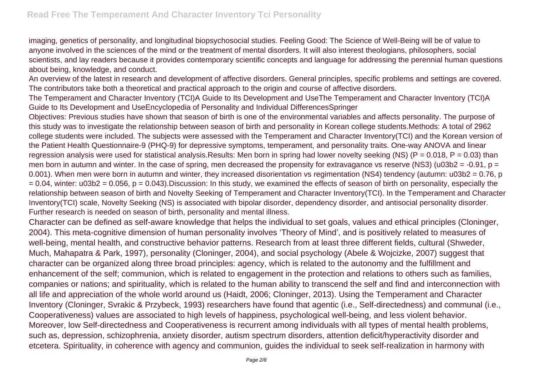imaging, genetics of personality, and longitudinal biopsychosocial studies. Feeling Good: The Science of Well-Being will be of value to anyone involved in the sciences of the mind or the treatment of mental disorders. It will also interest theologians, philosophers, social scientists, and lay readers because it provides contemporary scientific concepts and language for addressing the perennial human questions about being, knowledge, and conduct.

An overview of the latest in research and development of affective disorders. General principles, specific problems and settings are covered. The contributors take both a theoretical and practical approach to the origin and course of affective disorders.

The Temperament and Character Inventory (TCI)A Guide to Its Development and UseThe Temperament and Character Inventory (TCI)A Guide to Its Development and UseEncyclopedia of Personality and Individual DifferencesSpringer

Objectives: Previous studies have shown that season of birth is one of the environmental variables and affects personality. The purpose of this study was to investigate the relationship between season of birth and personality in Korean college students.Methods: A total of 2962 college students were included. The subjects were assessed with the Temperament and Character Inventory(TCI) and the Korean version of the Patient Health Questionnaire-9 (PHQ-9) for depressive symptoms, temperament, and personality traits. One-way ANOVA and linear regression analysis were used for statistical analysis.Results: Men born in spring had lower novelty seeking (NS) (P = 0.018, P = 0.03) than men born in autumn and winter. In the case of spring, men decreased the propensity for extravagance vs reserve (NS3) ( $u03b2 = -0.91$ ,  $p =$ 0.001). When men were born in autumn and winter, they increased disorientation vs regimentation (NS4) tendency (autumn: u03b2 = 0.76, p  $= 0.04$ , winter: u03b2 = 0.056, p = 0.043). Discussion: In this study, we examined the effects of season of birth on personality, especially the relationship between season of birth and Novelty Seeking of Temperament and Character Inventory(TCI). In the Temperament and Character Inventory(TCI) scale, Novelty Seeking (NS) is associated with bipolar disorder, dependency disorder, and antisocial personality disorder. Further research is needed on season of birth, personality and mental illness.

Character can be defined as self-aware knowledge that helps the individual to set goals, values and ethical principles (Cloninger, 2004). This meta-cognitive dimension of human personality involves 'Theory of Mind', and is positively related to measures of well-being, mental health, and constructive behavior patterns. Research from at least three different fields, cultural (Shweder, Much, Mahapatra & Park, 1997), personality (Cloninger, 2004), and social psychology (Abele & Wojcizke, 2007) suggest that character can be organized along three broad principles: agency, which is related to the autonomy and the fulfillment and enhancement of the self; communion, which is related to engagement in the protection and relations to others such as families, companies or nations; and spirituality, which is related to the human ability to transcend the self and find and interconnection with all life and appreciation of the whole world around us (Haidt, 2006; Cloninger, 2013). Using the Temperament and Character Inventory (Cloninger, Svrakic & Przybeck, 1993) researchers have found that agentic (i.e., Self-directedness) and communal (i.e., Cooperativeness) values are associated to high levels of happiness, psychological well-being, and less violent behavior. Moreover, low Self-directedness and Cooperativeness is recurrent among individuals with all types of mental health problems, such as, depression, schizophrenia, anxiety disorder, autism spectrum disorders, attention deficit/hyperactivity disorder and etcetera. Spirituality, in coherence with agency and communion, guides the individual to seek self-realization in harmony with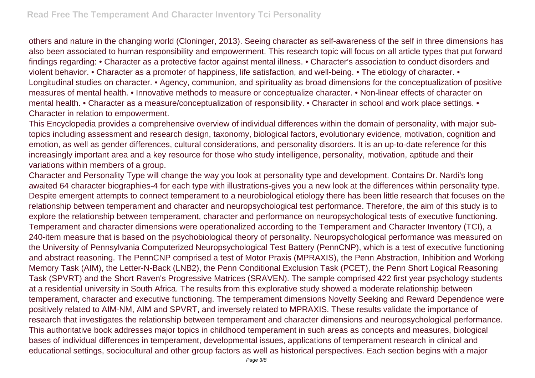others and nature in the changing world (Cloninger, 2013). Seeing character as self-awareness of the self in three dimensions has also been associated to human responsibility and empowerment. This research topic will focus on all article types that put forward findings regarding: • Character as a protective factor against mental illness. • Character's association to conduct disorders and violent behavior. • Character as a promoter of happiness, life satisfaction, and well-being. • The etiology of character. • Longitudinal studies on character. • Agency, communion, and spirituality as broad dimensions for the conceptualization of positive measures of mental health. • Innovative methods to measure or conceptualize character. • Non-linear effects of character on mental health. • Character as a measure/conceptualization of responsibility. • Character in school and work place settings. • Character in relation to empowerment.

This Encyclopedia provides a comprehensive overview of individual differences within the domain of personality, with major subtopics including assessment and research design, taxonomy, biological factors, evolutionary evidence, motivation, cognition and emotion, as well as gender differences, cultural considerations, and personality disorders. It is an up-to-date reference for this increasingly important area and a key resource for those who study intelligence, personality, motivation, aptitude and their variations within members of a group.

Character and Personality Type will change the way you look at personality type and development. Contains Dr. Nardi's long awaited 64 character biographies-4 for each type with illustrations-gives you a new look at the differences within personality type. Despite emergent attempts to connect temperament to a neurobiological etiology there has been little research that focuses on the relationship between temperament and character and neuropsychological test performance. Therefore, the aim of this study is to explore the relationship between temperament, character and performance on neuropsychological tests of executive functioning. Temperament and character dimensions were operationalized according to the Temperament and Character Inventory (TCI), a 240-item measure that is based on the psychobiological theory of personality. Neuropsychological performance was measured on the University of Pennsylvania Computerized Neuropsychological Test Battery (PennCNP), which is a test of executive functioning and abstract reasoning. The PennCNP comprised a test of Motor Praxis (MPRAXIS), the Penn Abstraction, Inhibition and Working Memory Task (AIM), the Letter-N-Back (LNB2), the Penn Conditional Exclusion Task (PCET), the Penn Short Logical Reasoning Task (SPVRT) and the Short Raven's Progressive Matrices (SRAVEN). The sample comprised 422 first year psychology students at a residential university in South Africa. The results from this explorative study showed a moderate relationship between temperament, character and executive functioning. The temperament dimensions Novelty Seeking and Reward Dependence were positively related to AIM-NM, AIM and SPVRT, and inversely related to MPRAXIS. These results validate the importance of research that investigates the relationship between temperament and character dimensions and neuropsychological performance. This authoritative book addresses major topics in childhood temperament in such areas as concepts and measures, biological bases of individual differences in temperament, developmental issues, applications of temperament research in clinical and educational settings, sociocultural and other group factors as well as historical perspectives. Each section begins with a major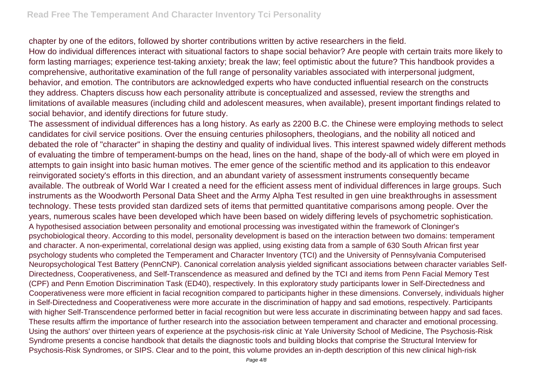chapter by one of the editors, followed by shorter contributions written by active researchers in the field.

How do individual differences interact with situational factors to shape social behavior? Are people with certain traits more likely to form lasting marriages; experience test-taking anxiety; break the law; feel optimistic about the future? This handbook provides a comprehensive, authoritative examination of the full range of personality variables associated with interpersonal judgment, behavior, and emotion. The contributors are acknowledged experts who have conducted influential research on the constructs they address. Chapters discuss how each personality attribute is conceptualized and assessed, review the strengths and limitations of available measures (including child and adolescent measures, when available), present important findings related to social behavior, and identify directions for future study.

The assessment of individual differences has a long history. As early as 2200 B.C. the Chinese were employing methods to select candidates for civil service positions. Over the ensuing centuries philosophers, theologians, and the nobility all noticed and debated the role of "character" in shaping the destiny and quality of individual lives. This interest spawned widely different methods of evaluating the timbre of temperament-bumps on the head, lines on the hand, shape of the body-all of which were em ployed in attempts to gain insight into basic human motives. The emer gence of the scientific method and its application to this endeavor reinvigorated society's efforts in this direction, and an abundant variety of assessment instruments consequently became available. The outbreak of World War I created a need for the efficient assess ment of individual differences in large groups. Such instruments as the Woodworth Personal Data Sheet and the Army Alpha Test resulted in gen uine breakthroughs in assessment technology. These tests provided stan dardized sets of items that permitted quantitative comparisons among people. Over the years, numerous scales have been developed which have been based on widely differing levels of psychometric sophistication. A hypothesised association between personality and emotional processing was investigated within the framework of Cloninger's psychobiological theory. According to this model, personality development is based on the interaction between two domains: temperament and character. A non-experimental, correlational design was applied, using existing data from a sample of 630 South African first year psychology students who completed the Temperament and Character Inventory (TCI) and the University of Pennsylvania Computerised Neuropsychological Test Battery (PennCNP). Canonical correlation analysis yielded significant associations between character variables Self-Directedness, Cooperativeness, and Self-Transcendence as measured and defined by the TCI and items from Penn Facial Memory Test (CPF) and Penn Emotion Discrimination Task (ED40), respectively. In this exploratory study participants lower in Self-Directedness and Cooperativeness were more efficient in facial recognition compared to participants higher in these dimensions. Conversely, individuals higher in Self-Directedness and Cooperativeness were more accurate in the discrimination of happy and sad emotions, respectively. Participants with higher Self-Transcendence performed better in facial recognition but were less accurate in discriminating between happy and sad faces. These results affirm the importance of further research into the association between temperament and character and emotional processing. Using the authors' over thirteen years of experience at the psychosis-risk clinic at Yale University School of Medicine, The Psychosis-Risk Syndrome presents a concise handbook that details the diagnostic tools and building blocks that comprise the Structural Interview for Psychosis-Risk Syndromes, or SIPS. Clear and to the point, this volume provides an in-depth description of this new clinical high-risk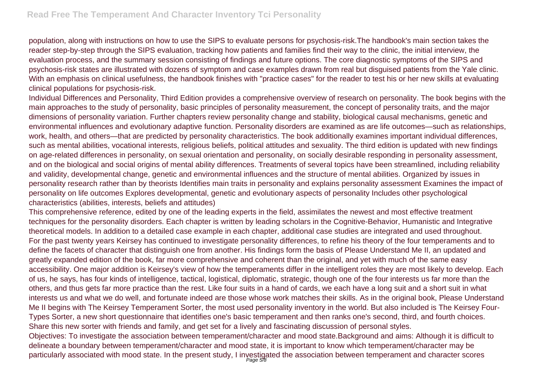population, along with instructions on how to use the SIPS to evaluate persons for psychosis-risk.The handbook's main section takes the reader step-by-step through the SIPS evaluation, tracking how patients and families find their way to the clinic, the initial interview, the evaluation process, and the summary session consisting of findings and future options. The core diagnostic symptoms of the SIPS and psychosis-risk states are illustrated with dozens of symptom and case examples drawn from real but disguised patients from the Yale clinic. With an emphasis on clinical usefulness, the handbook finishes with "practice cases" for the reader to test his or her new skills at evaluating clinical populations for psychosis-risk.

Individual Differences and Personality, Third Edition provides a comprehensive overview of research on personality. The book begins with the main approaches to the study of personality, basic principles of personality measurement, the concept of personality traits, and the major dimensions of personality variation. Further chapters review personality change and stability, biological causal mechanisms, genetic and environmental influences and evolutionary adaptive function. Personality disorders are examined as are life outcomes—such as relationships, work, health, and others—that are predicted by personality characteristics. The book additionally examines important individual differences, such as mental abilities, vocational interests, religious beliefs, political attitudes and sexuality. The third edition is updated with new findings on age-related differences in personality, on sexual orientation and personality, on socially desirable responding in personality assessment, and on the biological and social origins of mental ability differences. Treatments of several topics have been streamlined, including reliability and validity, developmental change, genetic and environmental influences and the structure of mental abilities. Organized by issues in personality research rather than by theorists Identifies main traits in personality and explains personality assessment Examines the impact of personality on life outcomes Explores developmental, genetic and evolutionary aspects of personality Includes other psychological characteristics (abilities, interests, beliefs and attitudes)

This comprehensive reference, edited by one of the leading experts in the field, assimilates the newest and most effective treatment techniques for the personality disorders. Each chapter is written by leading scholars in the Cognitive-Behavior, Humanistic and Integrative theoretical models. In addition to a detailed case example in each chapter, additional case studies are integrated and used throughout. For the past twenty years Keirsey has continued to investigate personality differences, to refine his theory of the four temperaments and to define the facets of character that distinguish one from another. His findings form the basis of Please Understand Me II, an updated and greatly expanded edition of the book, far more comprehensive and coherent than the original, and yet with much of the same easy accessibility. One major addition is Keirsey's view of how the temperaments differ in the intelligent roles they are most likely to develop. Each of us, he says, has four kinds of intelligence, tactical, logistical, diplomatic, strategic, though one of the four interests us far more than the others, and thus gets far more practice than the rest. Like four suits in a hand of cards, we each have a long suit and a short suit in what interests us and what we do well, and fortunate indeed are those whose work matches their skills. As in the original book, Please Understand Me II begins with The Keirsey Temperament Sorter, the most used personality inventory in the world. But also included is The Keirsey Four-Types Sorter, a new short questionnaire that identifies one's basic temperament and then ranks one's second, third, and fourth choices. Share this new sorter with friends and family, and get set for a lively and fascinating discussion of personal styles.

Objectives: To investigate the association between temperament/character and mood state.Background and aims: Although it is difficult to delineate a boundary between temperament/character and mood state, it is important to know which temperament/character may be particularly associated with mood state. In the present study, I investigated the association between temperament and character scores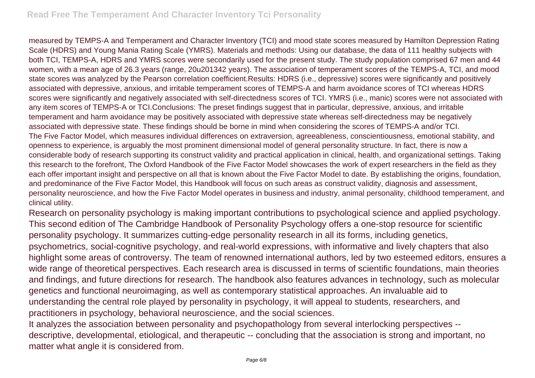measured by TEMPS-A and Temperament and Character Inventory (TCI) and mood state scores measured by Hamilton Depression Rating Scale (HDRS) and Young Mania Rating Scale (YMRS). Materials and methods: Using our database, the data of 111 healthy subjects with both TCI, TEMPS-A, HDRS and YMRS scores were secondarily used for the present study. The study population comprised 67 men and 44 women, with a mean age of 26.3 years (range, 20u201342 years). The association of temperament scores of the TEMPS-A, TCI, and mood state scores was analyzed by the Pearson correlation coefficient.Results: HDRS (i.e., depressive) scores were significantly and positively associated with depressive, anxious, and irritable temperament scores of TEMPS-A and harm avoidance scores of TCI whereas HDRS scores were significantly and negatively associated with self-directedness scores of TCI. YMRS (i.e., manic) scores were not associated with any item scores of TEMPS-A or TCI.Conclusions: The preset findings suggest that in particular, depressive, anxious, and irritable temperament and harm avoidance may be positively associated with depressive state whereas self-directedness may be negatively associated with depressive state. These findings should be borne in mind when considering the scores of TEMPS-A and/or TCI. The Five Factor Model, which measures individual differences on extraversion, agreeableness, conscientiousness, emotional stability, and openness to experience, is arguably the most prominent dimensional model of general personality structure. In fact, there is now a considerable body of research supporting its construct validity and practical application in clinical, health, and organizational settings. Taking this research to the forefront, The Oxford Handbook of the Five Factor Model showcases the work of expert researchers in the field as they each offer important insight and perspective on all that is known about the Five Factor Model to date. By establishing the origins, foundation, and predominance of the Five Factor Model, this Handbook will focus on such areas as construct validity, diagnosis and assessment, personality neuroscience, and how the Five Factor Model operates in business and industry, animal personality, childhood temperament, and clinical utility.

Research on personality psychology is making important contributions to psychological science and applied psychology. This second edition of The Cambridge Handbook of Personality Psychology offers a one-stop resource for scientific personality psychology. It summarizes cutting-edge personality research in all its forms, including genetics, psychometrics, social-cognitive psychology, and real-world expressions, with informative and lively chapters that also highlight some areas of controversy. The team of renowned international authors, led by two esteemed editors, ensures a wide range of theoretical perspectives. Each research area is discussed in terms of scientific foundations, main theories and findings, and future directions for research. The handbook also features advances in technology, such as molecular genetics and functional neuroimaging, as well as contemporary statistical approaches. An invaluable aid to understanding the central role played by personality in psychology, it will appeal to students, researchers, and practitioners in psychology, behavioral neuroscience, and the social sciences.

It analyzes the association between personality and psychopathology from several interlocking perspectives - descriptive, developmental, etiological, and therapeutic -- concluding that the association is strong and important, no matter what angle it is considered from.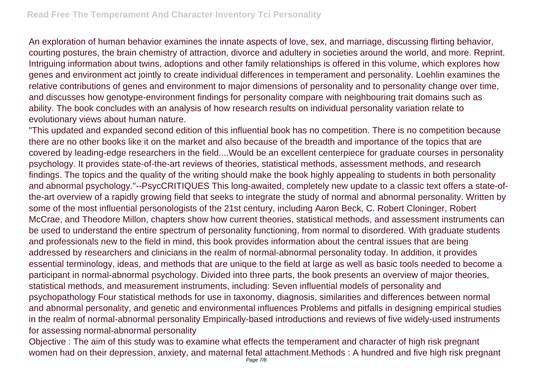An exploration of human behavior examines the innate aspects of love, sex, and marriage, discussing flirting behavior, courting postures, the brain chemistry of attraction, divorce and adultery in societies around the world, and more. Reprint. Intriguing information about twins, adoptions and other family relationships is offered in this volume, which explores how genes and environment act jointly to create individual differences in temperament and personality. Loehlin examines the relative contributions of genes and environment to major dimensions of personality and to personality change over time, and discusses how genotype-environment findings for personality compare with neighbouring trait domains such as ability. The book concludes with an analysis of how research results on individual personality variation relate to evolutionary views about human nature.

"This updated and expanded second edition of this influential book has no competition. There is no competition because there are no other books like it on the market and also because of the breadth and importance of the topics that are covered by leading-edge researchers in the field....Would be an excellent centerpiece for graduate courses in personality psychology. It provides state-of-the-art reviews of theories, statistical methods, assessment methods, and research findings. The topics and the quality of the writing should make the book highly appealing to students in both personality and abnormal psychology."--PsycCRITIQUES This long-awaited, completely new update to a classic text offers a state-ofthe-art overview of a rapidly growing field that seeks to integrate the study of normal and abnormal personality. Written by some of the most influential personologists of the 21st century, including Aaron Beck, C. Robert Cloninger, Robert McCrae, and Theodore Millon, chapters show how current theories, statistical methods, and assessment instruments can be used to understand the entire spectrum of personality functioning, from normal to disordered. With graduate students and professionals new to the field in mind, this book provides information about the central issues that are being addressed by researchers and clinicians in the realm of normal-abnormal personality today. In addition, it provides essential terminology, ideas, and methods that are unique to the field at large as well as basic tools needed to become a participant in normal-abnormal psychology. Divided into three parts, the book presents an overview of major theories, statistical methods, and measurement instruments, including: Seven influential models of personality and psychopathology Four statistical methods for use in taxonomy, diagnosis, similarities and differences between normal and abnormal personality, and genetic and environmental influences Problems and pitfalls in designing empirical studies in the realm of normal-abnormal personality Empirically-based introductions and reviews of five widely-used instruments for assessing normal-abnormal personality

Objective : The aim of this study was to examine what effects the temperament and character of high risk pregnant women had on their depression, anxiety, and maternal fetal attachment.Methods : A hundred and five high risk pregnant